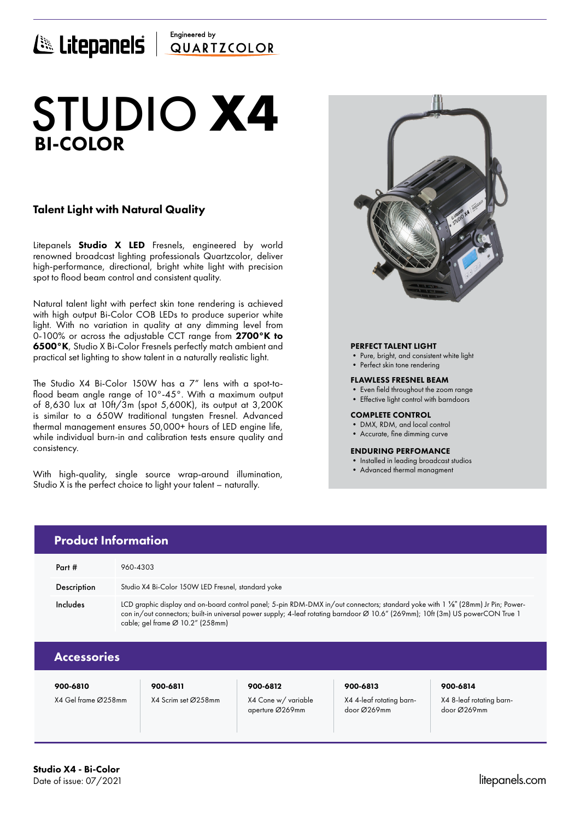# Engineered by ELICEPANELS QUARTICOLOR

# BI-COLOR STUDIO **X4**

# Talent Light with Natural Quality

Litepanels **Studio X LED** Fresnels, engineered by world renowned broadcast lighting professionals Quartzcolor, deliver high-performance, directional, bright white light with precision spot to flood beam control and consistent quality.

Natural talent light with perfect skin tone rendering is achieved with high output Bi-Color COB LEDs to produce superior white light. With no variation in quality at any dimming level from 0-100% or across the adjustable CCT range from 2700°K to 6500°K, Studio X Bi-Color Fresnels perfectly match ambient and practical set lighting to show talent in a naturally realistic light.

The Studio X4 Bi-Color 150W has a 7" lens with a spot-toflood beam angle range of 10°-45°. With a maximum output of 8,630 lux at 10ft/3m (spot 5,600K), its output at 3,200K is similar to a 650W traditional tungsten Fresnel. Advanced thermal management ensures 50,000+ hours of LED engine life, while individual burn-in and calibration tests ensure quality and consistency.

With high-quality, single source wrap-around illumination, Studio X is the perfect choice to light your talent – naturally.



# PERFECT TALENT LIGHT

- Pure, bright, and consistent white light
- Perfect skin tone rendering

### FLAWLESS FRESNEL BEAM

- Even field throughout the zoom range
- Effective light control with barndoors

### COMPLETE CONTROL

- DMX, RDM, and local control
- Accurate, fine dimming curve

### ENDURING PERFOMANCE

- Installed in leading broadcast studios
- Advanced thermal managment

|  | <b>Product Information</b> |                                                                                                                                                                                                                                                                                                                  |  |  |  |  |  |  |
|--|----------------------------|------------------------------------------------------------------------------------------------------------------------------------------------------------------------------------------------------------------------------------------------------------------------------------------------------------------|--|--|--|--|--|--|
|  | Part $#$                   | 960-4303                                                                                                                                                                                                                                                                                                         |  |  |  |  |  |  |
|  | <b>Description</b>         | Studio X4 Bi-Color 150W LED Fresnel, standard yoke                                                                                                                                                                                                                                                               |  |  |  |  |  |  |
|  | Includes                   | LCD graphic display and on-board control panel; 5-pin RDM-DMX in/out connectors; standard yoke with 1 %" (28mm) Jr Pin; Power-<br>con in/out connectors; built-in universal power supply; 4-leaf rotating barndoor Ø 10.6" (269mm); 10ft (3m) US powerCON True 1<br>cable; gel frame $\varnothing$ 10.2" (258mm) |  |  |  |  |  |  |
|  | <b>Accessories</b>         |                                                                                                                                                                                                                                                                                                                  |  |  |  |  |  |  |

|  | , , , , , , ,       |  |  |
|--|---------------------|--|--|
|  | K4 Gel frame Ø258mr |  |  |

# 900-6810 900-6811 900-6812 900-6813 900-6814

X4 Gel frame Ø258mm X4 Scrim set Ø258mm X4 Cone w/ variable aperture Ø269mm

X4 4-leaf rotating barndoor Ø269mm

X4 8-leaf rotating barndoor Ø269mm